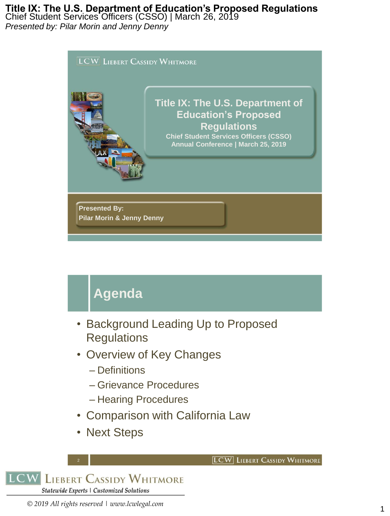Chief Student Services Officers (CSSO) | March 26, 2019 *Presented by: Pilar Morin and Jenny Denny*



# **Agenda**

- Background Leading Up to Proposed **Regulations**
- Overview of Key Changes
	- Definitions
	- Grievance Procedures
	- Hearing Procedures
- Comparison with California Law

**LCW** LIEBERT CASSIDY WHITMORE

• Next Steps

2 **LCW LIEBERT CASSIDY WHITMORE** Statewide Experts | Customized Solutions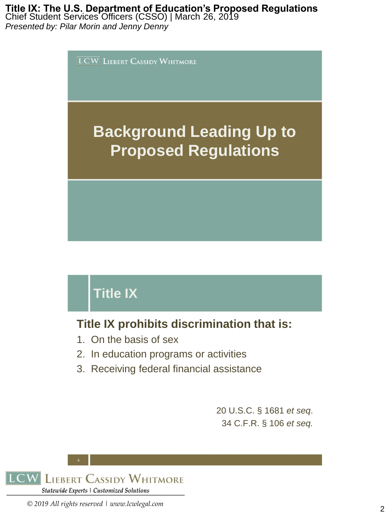Chief Student Services Officers (CSSO) | March 26, 2019 *Presented by: Pilar Morin and Jenny Denny*



# **Title IX**

## **Title IX prohibits discrimination that is:**

- 1. On the basis of sex
- 2. In education programs or activities
- 3. Receiving federal financial assistance

20 U.S.C. § 1681 *et seq*. 34 C.F.R. § 106 *et seq.*

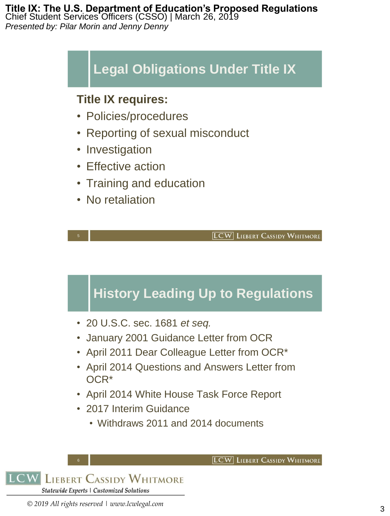#### **Title IX: The U.S. Department of Education's Proposed Regulations** Chief Student Services Officers (CSSO) | March 26, 2019 *Presented by: Pilar Morin and Jenny Denny*

# **Legal Obligations Under Title IX**

### **Title IX requires:**

- Policies/procedures
- Reporting of sexual misconduct
- Investigation
- Effective action
- Training and education
- No retaliation

**LCW** LIEBERT CASSIDY WHITMORE

# **History Leading Up to Regulations**

- 20 U.S.C. sec. 1681 *et seq.*
- January 2001 Guidance Letter from OCR
- April 2011 Dear Colleague Letter from OCR\*
- April 2014 Questions and Answers Letter from OCR\*
- April 2014 White House Task Force Report
- 2017 Interim Guidance
	- Withdraws 2011 and 2014 documents

6 **LIEBERT CASSIDY WHITMORE** Statewide Experts | Customized Solutions

**LCW** LIEBERT CASSIDY WHITMORE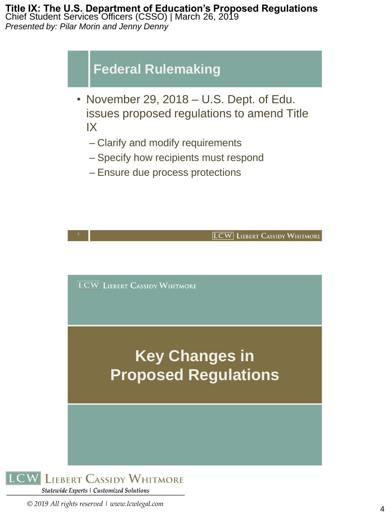#### **Title IX: The U.S. Department of Education's Proposed Regulations** Chief Student Services Officers (CSSO) | March 26, 2019 *Presented by: Pilar Morin and Jenny Denny*

# **Federal Rulemaking**

- November 29, 2018 U.S. Dept. of Edu. issues proposed regulations to amend Title IX
	- Clarify and modify requirements
	- Specify how recipients must respond
	- Ensure due process protections



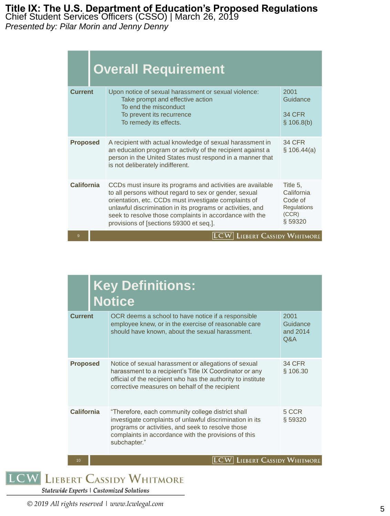Chief Student Services Officers (CSSO) | March 26, 2019

*Presented by: Pilar Morin and Jenny Denny*

|                   | <b>Overall Requirement</b>                                                                                                                                                                                                                                                                                                                        |                                                                             |
|-------------------|---------------------------------------------------------------------------------------------------------------------------------------------------------------------------------------------------------------------------------------------------------------------------------------------------------------------------------------------------|-----------------------------------------------------------------------------|
| <b>Current</b>    | Upon notice of sexual harassment or sexual violence:<br>Take prompt and effective action<br>To end the misconduct<br>To prevent its recurrence<br>To remedy its effects.                                                                                                                                                                          | 2001<br>Guidance<br><b>34 CFR</b><br>\$106.8(b)                             |
| <b>Proposed</b>   | A recipient with actual knowledge of sexual harassment in<br>an education program or activity of the recipient against a<br>person in the United States must respond in a manner that<br>is not deliberately indifferent.                                                                                                                         | <b>34 CFR</b><br>\$106.44(a)                                                |
| <b>California</b> | CCDs must insure its programs and activities are available<br>to all persons without regard to sex or gender, sexual<br>orientation, etc. CCDs must investigate complaints of<br>unlawful discrimination in its programs or activities, and<br>seek to resolve those complaints in accordance with the<br>provisions of [sections 59300 et seq.]. | Title 5.<br>California<br>Code of<br><b>Regulations</b><br>(CCR)<br>§ 59320 |
| 9                 | <b>LIEBERT CASSIDY WHITMORE</b>                                                                                                                                                                                                                                                                                                                   |                                                                             |

| <b>Key Definitions:</b><br><b>Notice</b> |                                                                                                                                                                                                                                            |                                     |  |
|------------------------------------------|--------------------------------------------------------------------------------------------------------------------------------------------------------------------------------------------------------------------------------------------|-------------------------------------|--|
| <b>Current</b>                           | OCR deems a school to have notice if a responsible<br>employee knew, or in the exercise of reasonable care<br>should have known, about the sexual harassment.                                                                              | 2001<br>Guidance<br>and 2014<br>Q&A |  |
| <b>Proposed</b>                          | Notice of sexual harassment or allegations of sexual<br>harassment to a recipient's Title IX Coordinator or any<br>official of the recipient who has the authority to institute<br>corrective measures on behalf of the recipient          | 34 CFR<br>§ 106.30                  |  |
| California                               | "Therefore, each community college district shall<br>investigate complaints of unlawful discrimination in its<br>programs or activities, and seek to resolve those<br>complaints in accordance with the provisions of this<br>subchapter." | 5 CCR<br>§ 59320                    |  |
| 10                                       | <b>LIEBERT CASSIDY WHITMORE</b>                                                                                                                                                                                                            |                                     |  |

**LCW LIEBERT CASSIDY WHITMORE** 

Statewide Experts | Customized Solutions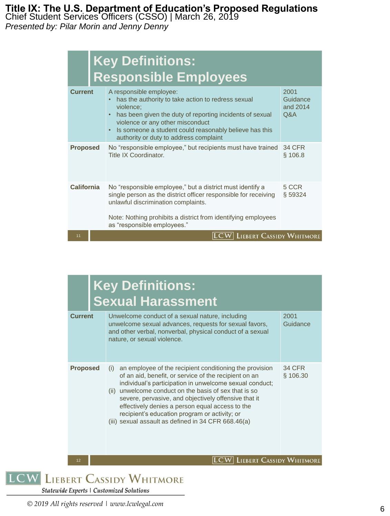Chief Student Services Officers (CSSO) | March 26, 2019

*Presented by: Pilar Morin and Jenny Denny*

|                   | <b>Key Definitions:</b><br><b>Responsible Employees</b>                                                                                                                                                                                                                                        |                                     |
|-------------------|------------------------------------------------------------------------------------------------------------------------------------------------------------------------------------------------------------------------------------------------------------------------------------------------|-------------------------------------|
| <b>Current</b>    | A responsible employee:<br>has the authority to take action to redress sexual<br>violence:<br>has been given the duty of reporting incidents of sexual<br>violence or any other misconduct<br>Is someone a student could reasonably believe has this<br>authority or duty to address complaint | 2001<br>Guidance<br>and 2014<br>Q&A |
| <b>Proposed</b>   | No "responsible employee," but recipients must have trained<br>Title IX Coordinator.                                                                                                                                                                                                           | <b>34 CFR</b><br>§ 106.8            |
| <b>California</b> | No "responsible employee," but a district must identify a<br>single person as the district officer responsible for receiving<br>unlawful discrimination complaints.<br>Note: Nothing prohibits a district from identifying employees<br>as "responsible employees."                            | 5 CCR<br>§ 59324                    |
| 11                | <b>LIEBERT CASSIDY WHITMORE</b>                                                                                                                                                                                                                                                                |                                     |

|                 | <b>Key Definitions:</b><br><b>Sexual Harassment</b>                                                                                                                                                                                                                                                                                                                                                                                                            |                           |
|-----------------|----------------------------------------------------------------------------------------------------------------------------------------------------------------------------------------------------------------------------------------------------------------------------------------------------------------------------------------------------------------------------------------------------------------------------------------------------------------|---------------------------|
| <b>Current</b>  | Unwelcome conduct of a sexual nature, including<br>unwelcome sexual advances, requests for sexual favors,<br>and other verbal, nonverbal, physical conduct of a sexual<br>nature, or sexual violence.                                                                                                                                                                                                                                                          | 2001<br>Guidance          |
| <b>Proposed</b> | an employee of the recipient conditioning the provision<br>(i)<br>of an aid, benefit, or service of the recipient on an<br>individual's participation in unwelcome sexual conduct;<br>(ii) unwelcome conduct on the basis of sex that is so<br>severe, pervasive, and objectively offensive that it<br>effectively denies a person equal access to the<br>recipient's education program or activity; or<br>(iii) sexual assault as defined in 34 CFR 668.46(a) | <b>34 CFR</b><br>§ 106.30 |
| 12              | <b>LIEBERT CASSIDY WHITMORE</b>                                                                                                                                                                                                                                                                                                                                                                                                                                |                           |

**LCW LIEBERT CASSIDY WHITMORE** 

Statewide Experts | Customized Solutions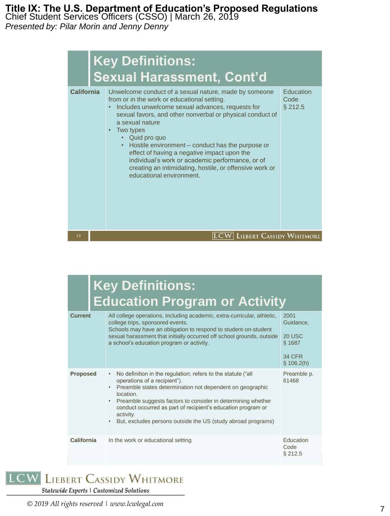Chief Student Services Officers (CSSO) | March 26, 2019 *Presented by: Pilar Morin and Jenny Denny*

> **Key Definitions: Sexual Harassment, Cont'd California** Unwelcome conduct of a sexual nature, made by someone **Education** from or in the work or educational setting. **Code** • Includes unwelcome sexual advances, requests for § 212.5 sexual favors, and other nonverbal or physical conduct of a sexual nature • Two types • Quid pro quo • Hostile environment – conduct has the purpose or effect of having a negative impact upon the individual's work or academic performance, or of creating an intimidating, hostile, or offensive work or educational environment. **LCW** LIEBERT CASSIDY WHITMORE 13

|                 | <b>Key Definitions:</b><br><b>Education Program or Activity</b>                                                                                                                                                                                                                                                                                                                                                                         |                                                                      |
|-----------------|-----------------------------------------------------------------------------------------------------------------------------------------------------------------------------------------------------------------------------------------------------------------------------------------------------------------------------------------------------------------------------------------------------------------------------------------|----------------------------------------------------------------------|
| <b>Current</b>  | All college operations, including academic, extra-curricular, athletic,<br>college trips, sponsored events.<br>Schools may have an obligation to respond to student-on-student<br>sexual harassment that initially occurred off school grounds, outside<br>a school's education program or activity.                                                                                                                                    | 2001<br>Guidance,<br>20 USC<br>\$1687<br><b>34 CFR</b><br>\$106.2(h) |
| <b>Proposed</b> | No definition in the regulation; refers to the statute ("all<br>$\bullet$<br>operations of a recipient").<br>Preamble states determination not dependent on geographic<br>$\bullet$<br>location.<br>Preamble suggests factors to consider in determining whether<br>$\bullet$<br>conduct occurred as part of recipient's education program or<br>activity.<br>But, excludes persons outside the US (study abroad programs)<br>$\bullet$ | Preamble p.<br>61468                                                 |
| California      | In the work or educational setting                                                                                                                                                                                                                                                                                                                                                                                                      | Education<br>Code<br>$§$ 212.5                                       |

## **LCW LIEBERT CASSIDY WHITMORE**

Statewide Experts | Customized Solutions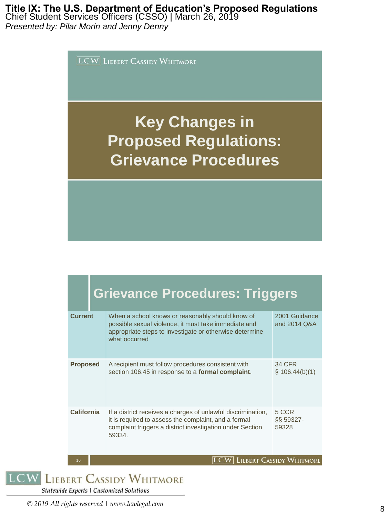Chief Student Services Officers (CSSO) | March 26, 2019 *Presented by: Pilar Morin and Jenny Denny*

 $\overline{\text{LCW}}$  LIEBERT CASSIDY WHITMORE

# **Key Changes in Proposed Regulations: Grievance Procedures**

|                   | <b>Grievance Procedures: Triggers</b>                                                                                                                                                      |                                 |
|-------------------|--------------------------------------------------------------------------------------------------------------------------------------------------------------------------------------------|---------------------------------|
| <b>Current</b>    | When a school knows or reasonably should know of<br>possible sexual violence, it must take immediate and<br>appropriate steps to investigate or otherwise determine<br>what occurred       | 2001 Guidance<br>and 2014 Q&A   |
| <b>Proposed</b>   | A recipient must follow procedures consistent with<br>section 106.45 in response to a formal complaint.                                                                                    | 34 CFR<br>$\S$ 106.44(b)(1)     |
| <b>California</b> | If a district receives a charges of unlawful discrimination,<br>it is required to assess the complaint, and a formal<br>complaint triggers a district investigation under Section<br>59334 | 5 CCR<br>§§ 59327-<br>59328     |
| 16                |                                                                                                                                                                                            | <b>LIEBERT CASSIDY WHITMORE</b> |

**LCW LIEBERT CASSIDY WHITMORE** 

Statewide Experts | Customized Solutions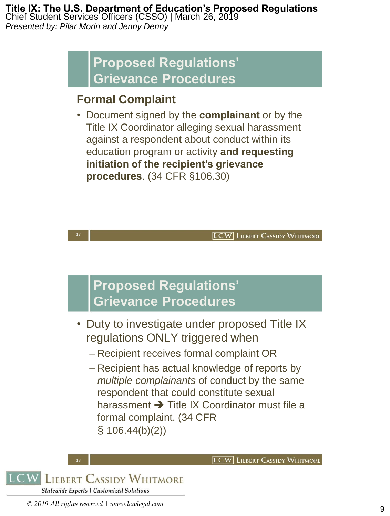Chief Student Services Officers (CSSO) | March 26, 2019 *Presented by: Pilar Morin and Jenny Denny*

# **Proposed Regulations' Grievance Procedures**

## **Formal Complaint**

• Document signed by the **complainant** or by the Title IX Coordinator alleging sexual harassment against a respondent about conduct within its education program or activity **and requesting initiation of the recipient's grievance procedures**. (34 CFR §106.30)

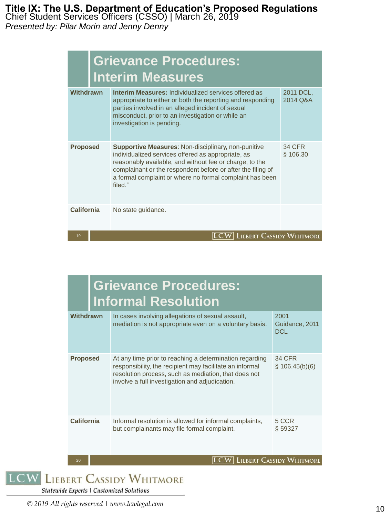Chief Student Services Officers (CSSO) | March 26, 2019

*Presented by: Pilar Morin and Jenny Denny*

| <b>Grievance Procedures:</b><br><b>Interim Measures</b> |                                                                                                                                                                                                                                                                                                                   |                       |  |
|---------------------------------------------------------|-------------------------------------------------------------------------------------------------------------------------------------------------------------------------------------------------------------------------------------------------------------------------------------------------------------------|-----------------------|--|
| Withdrawn                                               | <b>Interim Measures: Individualized services offered as</b><br>appropriate to either or both the reporting and responding<br>parties involved in an alleged incident of sexual<br>misconduct, prior to an investigation or while an<br>investigation is pending.                                                  | 2011 DCL,<br>2014 Q&A |  |
| <b>Proposed</b>                                         | <b>Supportive Measures: Non-disciplinary, non-punitive</b><br>individualized services offered as appropriate, as<br>reasonably available, and without fee or charge, to the<br>complainant or the respondent before or after the filing of<br>a formal complaint or where no formal complaint has been<br>filed." | 34 CFR<br>§ 106.30    |  |
| <b>California</b>                                       | No state guidance.                                                                                                                                                                                                                                                                                                |                       |  |
| 19                                                      | <b>LIEBERT CASSIDY WHITMORE</b>                                                                                                                                                                                                                                                                                   |                       |  |

|                   | <b>Grievance Procedures:</b><br><b>Informal Resolution</b>                                                                                                                                                                    |                                      |
|-------------------|-------------------------------------------------------------------------------------------------------------------------------------------------------------------------------------------------------------------------------|--------------------------------------|
| Withdrawn         | In cases involving allegations of sexual assault,<br>mediation is not appropriate even on a voluntary basis.                                                                                                                  | 2001<br>Guidance, 2011<br><b>DCL</b> |
| <b>Proposed</b>   | At any time prior to reaching a determination regarding<br>responsibility, the recipient may facilitate an informal<br>resolution process, such as mediation, that does not<br>involve a full investigation and adjudication. | <b>34 CFR</b><br>\$106.45(b)(6)      |
| <b>California</b> | Informal resolution is allowed for informal complaints,<br>but complainants may file formal complaint.                                                                                                                        | 5 CCR<br>§ 59327                     |

**LCW** LIEBERT CASSIDY WHITMORE

# **LCW LIEBERT CASSIDY WHITMORE**

Statewide Experts | Customized Solutions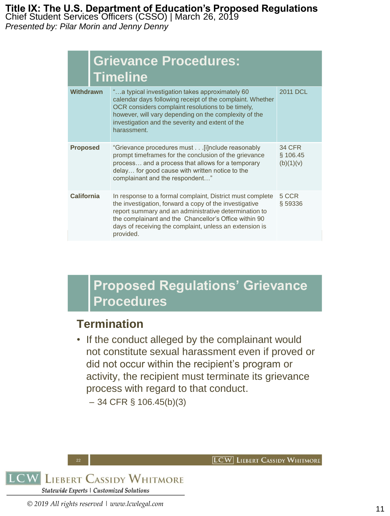Chief Student Services Officers (CSSO) | March 26, 2019

*Presented by: Pilar Morin and Jenny Denny*

|                   | <b>Grievance Procedures:</b><br><b>Timeline</b>                                                                                                                                                                                                                                                               |                                        |
|-------------------|---------------------------------------------------------------------------------------------------------------------------------------------------------------------------------------------------------------------------------------------------------------------------------------------------------------|----------------------------------------|
| Withdrawn         | "a typical investigation takes approximately 60<br>calendar days following receipt of the complaint. Whether<br>OCR considers complaint resolutions to be timely,<br>however, will vary depending on the complexity of the<br>investigation and the severity and extent of the<br>harassment.                 | 2011 DCL                               |
| <b>Proposed</b>   | "Grievance procedures must [i]nclude reasonably<br>prompt timeframes for the conclusion of the grievance<br>process and a process that allows for a temporary<br>delay for good cause with written notice to the<br>complainant and the respondent"                                                           | <b>34 CFR</b><br>§ 106.45<br>(b)(1)(v) |
| <b>California</b> | In response to a formal complaint, District must complete<br>the investigation, forward a copy of the investigative<br>report summary and an administrative determination to<br>the complainant and the Chancellor's Office within 90<br>days of receiving the complaint, unless an extension is<br>provided. | 5 CCR<br>§59336                        |

# **Proposed Regulations' Grievance Procedures**

### **Termination**

• If the conduct alleged by the complainant would not constitute sexual harassment even if proved or did not occur within the recipient's program or activity, the recipient must terminate its grievance process with regard to that conduct.

 $-$  34 CFR § 106.45(b)(3)



**LCW** LIEBERT CASSIDY WHITMORE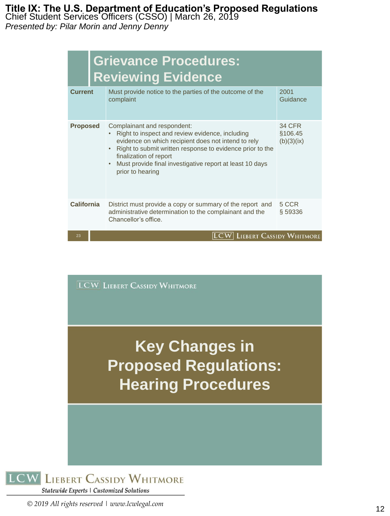Chief Student Services Officers (CSSO) | March 26, 2019

*Presented by: Pilar Morin and Jenny Denny*

| <b>Grievance Procedures:</b><br><b>Reviewing Evidence</b> |                                                                                                                                                                                                                                                                                                              |                                        |  |
|-----------------------------------------------------------|--------------------------------------------------------------------------------------------------------------------------------------------------------------------------------------------------------------------------------------------------------------------------------------------------------------|----------------------------------------|--|
| <b>Current</b>                                            | Must provide notice to the parties of the outcome of the<br>complaint                                                                                                                                                                                                                                        | 2001<br>Guidance                       |  |
| <b>Proposed</b>                                           | Complainant and respondent:<br>Right to inspect and review evidence, including<br>evidence on which recipient does not intend to rely<br>Right to submit written response to evidence prior to the<br>finalization of report<br>Must provide final investigative report at least 10 days<br>prior to hearing | <b>34 CFR</b><br>§106.45<br>(b)(3)(ix) |  |
| <b>California</b>                                         | District must provide a copy or summary of the report and<br>administrative determination to the complainant and the<br>Chancellor's office.                                                                                                                                                                 | 5 CCR<br>§ 59336                       |  |
| 23                                                        | LCW  Liebert Cassidy Whitmore                                                                                                                                                                                                                                                                                |                                        |  |

 $\boxed{\mathbf{LCW}}$  LIEBERT CASSIDY WHITMORE

**Key Changes in Proposed Regulations: Hearing Procedures**

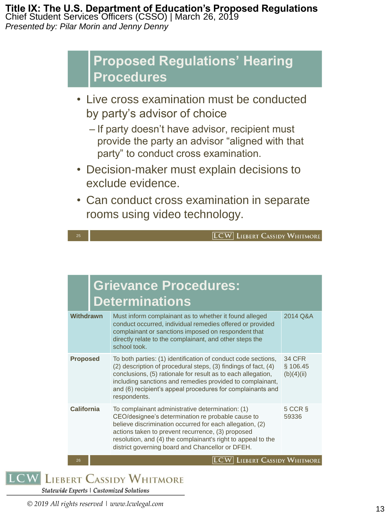#### **Title IX: The U.S. Department of Education's Proposed Regulations** Chief Student Services Officers (CSSO) | March 26, 2019

*Presented by: Pilar Morin and Jenny Denny*

## **Proposed Regulations' Hearing Procedures**

- Live cross examination must be conducted by party's advisor of choice
	- If party doesn't have advisor, recipient must provide the party an advisor "aligned with that party" to conduct cross examination.
- Decision-maker must explain decisions to exclude evidence.
- Can conduct cross examination in separate rooms using video technology.



| <b>Grievance Procedures:</b><br><b>Determinations</b> |                                                                                                                                                                                                                                                                                                                                            |                                         |  |
|-------------------------------------------------------|--------------------------------------------------------------------------------------------------------------------------------------------------------------------------------------------------------------------------------------------------------------------------------------------------------------------------------------------|-----------------------------------------|--|
| <b>Withdrawn</b>                                      | Must inform complainant as to whether it found alleged<br>conduct occurred, individual remedies offered or provided<br>complainant or sanctions imposed on respondent that<br>directly relate to the complainant, and other steps the<br>school took.                                                                                      | 2014 Q&A                                |  |
| <b>Proposed</b>                                       | To both parties: (1) identification of conduct code sections,<br>(2) description of procedural steps, (3) findings of fact, (4)<br>conclusions, (5) rationale for result as to each allegation,<br>including sanctions and remedies provided to complainant,<br>and (6) recipient's appeal procedures for complainants and<br>respondents. | <b>34 CFR</b><br>\$106.45<br>(b)(4)(ii) |  |
| California                                            | To complainant administrative determination: (1)<br>CEO/designee's determination re probable cause to<br>believe discrimination occurred for each allegation, (2)<br>actions taken to prevent recurrence, (3) proposed<br>resolution, and (4) the complainant's right to appeal to the<br>district governing board and Chancellor or DFEH. | $5$ CCR $\S$<br>59336                   |  |
| 26                                                    | <b>LIEBERT CASSIDY WHITMORE</b>                                                                                                                                                                                                                                                                                                            |                                         |  |

**LCW LIEBERT CASSIDY WHITMORE** 

Statewide Experts | Customized Solutions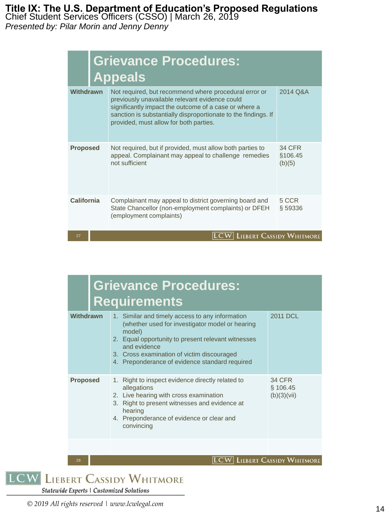Chief Student Services Officers (CSSO) | March 26, 2019

*Presented by: Pilar Morin and Jenny Denny*

|                   | <b>Grievance Procedures:</b><br><b>Appeals</b>                                                                                                                                                                                                                               |                                    |
|-------------------|------------------------------------------------------------------------------------------------------------------------------------------------------------------------------------------------------------------------------------------------------------------------------|------------------------------------|
| Withdrawn         | Not required, but recommend where procedural error or<br>previously unavailable relevant evidence could<br>significantly impact the outcome of a case or where a<br>sanction is substantially disproportionate to the findings. If<br>provided, must allow for both parties. | 2014 Q&A                           |
| <b>Proposed</b>   | Not required, but if provided, must allow both parties to<br>appeal. Complainant may appeal to challenge remedies<br>not sufficient                                                                                                                                          | <b>34 CFR</b><br>§106.45<br>(b)(5) |
| <b>California</b> | Complainant may appeal to district governing board and<br>State Chancellor (non-employment complaints) or DFEH<br>(employment complaints)                                                                                                                                    | 5 CCR<br>§ 59336                   |
| 27                | $\mathop{\rm LC}\nolimits$                                                                                                                                                                                                                                                   | <b>LIEBERT CASSIDY WHITMORE</b>    |

|                 | <b>Grievance Procedures:</b><br><b>Requirements</b>                                                                                                                                                                                                                                |                                          |
|-----------------|------------------------------------------------------------------------------------------------------------------------------------------------------------------------------------------------------------------------------------------------------------------------------------|------------------------------------------|
| Withdrawn       | 1. Similar and timely access to any information<br>(whether used for investigator model or hearing<br>model)<br>2. Equal opportunity to present relevant witnesses<br>and evidence<br>3. Cross examination of victim discouraged<br>4. Preponderance of evidence standard required | 2011 DCL                                 |
| <b>Proposed</b> | 1. Right to inspect evidence directly related to<br>allegations<br>2. Live hearing with cross examination<br>3. Right to present witnesses and evidence at<br>hearing<br>4. Preponderance of evidence or clear and<br>convincing                                                   | <b>34 CFR</b><br>§ 106.45<br>(b)(3)(vii) |
|                 |                                                                                                                                                                                                                                                                                    |                                          |

**LCW** LIEBERT CASSIDY WHITMORE

**LCW LIEBERT CASSIDY WHITMORE** 

Statewide Experts | Customized Solutions

28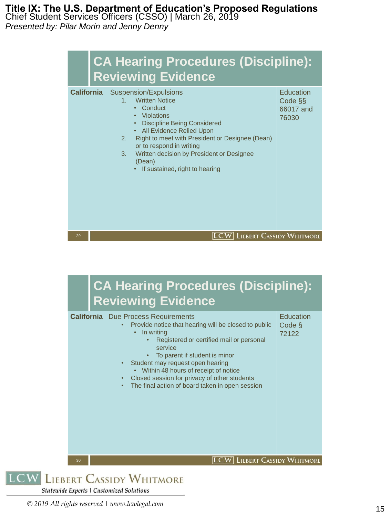Chief Student Services Officers (CSSO) | March 26, 2019

*Presented by: Pilar Morin and Jenny Denny*

|                   | <b>CA Hearing Procedures (Discipline):</b><br><b>Reviewing Evidence</b>                                                                                                                                                                                                                                                                                             |                                            |
|-------------------|---------------------------------------------------------------------------------------------------------------------------------------------------------------------------------------------------------------------------------------------------------------------------------------------------------------------------------------------------------------------|--------------------------------------------|
| <b>California</b> | Suspension/Expulsions<br><b>Written Notice</b><br>$1 -$<br>Conduct<br>$\bullet$<br>• Violations<br><b>Discipline Being Considered</b><br>• All Evidence Relied Upon<br>Right to meet with President or Designee (Dean)<br>2 <sup>1</sup><br>or to respond in writing<br>Written decision by President or Designee<br>3.<br>(Dean)<br>If sustained, right to hearing | Education<br>Code §§<br>66017 and<br>76030 |
| 29                | $ {\rm LCW} $ Liebert Cassidy Whitmore                                                                                                                                                                                                                                                                                                                              |                                            |

#### **CA Hearing Procedures (Discipline): Reviewing Evidence California** Due Process Requirements Education • Provide notice that hearing will be closed to public Code § • In writing 72122• Registered or certified mail or personal service • To parent if student is minor Student may request open hearing • Within 48 hours of receipt of notice • Closed session for privacy of other students • The final action of board taken in open session **LCW** LIEBERT CASSIDY WHITMORE 30 **LIEBERT CASSIDY WHITMORE**

Statewide Experts | Customized Solutions

**LCW**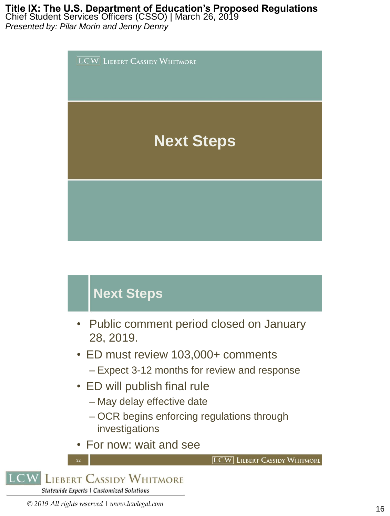Chief Student Services Officers (CSSO) | March 26, 2019

*Presented by: Pilar Morin and Jenny Denny*



# **Next Steps**

- Public comment period closed on January 28, 2019.
- ED must review 103,000+ comments – Expect 3-12 months for review and response
- ED will publish final rule
	- May delay effective date
	- OCR begins enforcing regulations through investigations
- For now: wait and see

**LCW** LIEBERT CASSIDY WHITMORE

**LIEBERT CASSIDY WHITMORE** LCW Statewide Experts | Customized Solutions

32